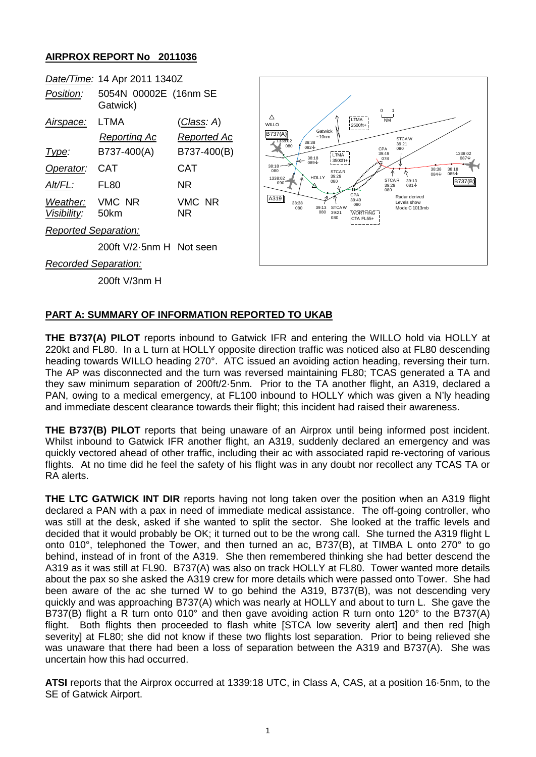## **AIRPROX REPORT No 2011036**



## **PART A: SUMMARY OF INFORMATION REPORTED TO UKAB**

**THE B737(A) PILOT** reports inbound to Gatwick IFR and entering the WILLO hold via HOLLY at 220kt and FL80. In a L turn at HOLLY opposite direction traffic was noticed also at FL80 descending heading towards WILLO heading 270°. ATC issued an avoiding action heading, reversing their turn. The AP was disconnected and the turn was reversed maintaining FL80; TCAS generated a TA and they saw minimum separation of 200ft/2·5nm. Prior to the TA another flight, an A319, declared a PAN, owing to a medical emergency, at FL100 inbound to HOLLY which was given a N'ly heading and immediate descent clearance towards their flight; this incident had raised their awareness.

**THE B737(B) PILOT** reports that being unaware of an Airprox until being informed post incident. Whilst inbound to Gatwick IFR another flight, an A319, suddenly declared an emergency and was quickly vectored ahead of other traffic, including their ac with associated rapid re-vectoring of various flights. At no time did he feel the safety of his flight was in any doubt nor recollect any TCAS TA or RA alerts.

**THE LTC GATWICK INT DIR** reports having not long taken over the position when an A319 flight declared a PAN with a pax in need of immediate medical assistance. The off-going controller, who was still at the desk, asked if she wanted to split the sector. She looked at the traffic levels and decided that it would probably be OK; it turned out to be the wrong call. She turned the A319 flight L onto 010°, telephoned the Tower, and then turned an ac, B737(B), at TIMBA L onto 270° to go behind, instead of in front of the A319. She then remembered thinking she had better descend the A319 as it was still at FL90. B737(A) was also on track HOLLY at FL80. Tower wanted more details about the pax so she asked the A319 crew for more details which were passed onto Tower. She had been aware of the ac she turned W to go behind the A319, B737(B), was not descending very quickly and was approaching B737(A) which was nearly at HOLLY and about to turn L. She gave the B737(B) flight a R turn onto 010° and then gave avoiding action R turn onto 120° to the B737(A) flight. Both flights then proceeded to flash white [STCA low severity alert] and then red [high severity] at FL80; she did not know if these two flights lost separation. Prior to being relieved she was unaware that there had been a loss of separation between the A319 and B737(A). She was uncertain how this had occurred.

**ATSI** reports that the Airprox occurred at 1339:18 UTC, in Class A, CAS, at a position 16·5nm, to the SE of Gatwick Airport.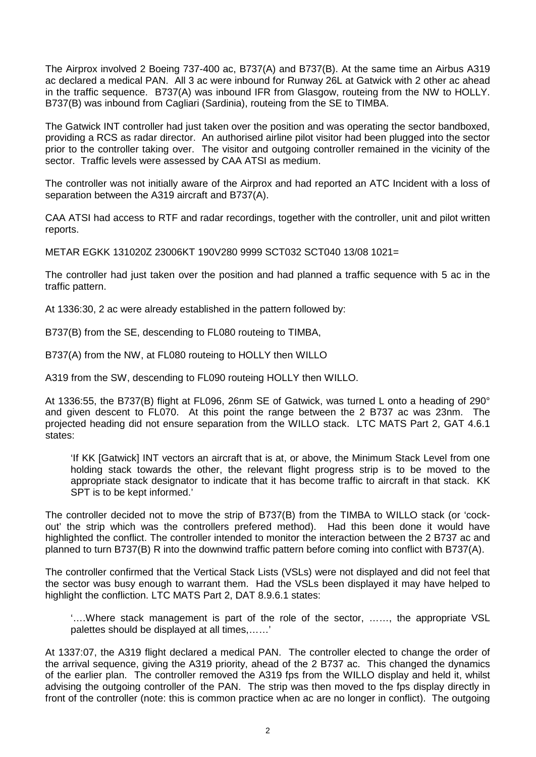The Airprox involved 2 Boeing 737-400 ac, B737(A) and B737(B). At the same time an Airbus A319 ac declared a medical PAN. All 3 ac were inbound for Runway 26L at Gatwick with 2 other ac ahead in the traffic sequence. B737(A) was inbound IFR from Glasgow, routeing from the NW to HOLLY. B737(B) was inbound from Cagliari (Sardinia), routeing from the SE to TIMBA.

The Gatwick INT controller had just taken over the position and was operating the sector bandboxed, providing a RCS as radar director. An authorised airline pilot visitor had been plugged into the sector prior to the controller taking over. The visitor and outgoing controller remained in the vicinity of the sector. Traffic levels were assessed by CAA ATSI as medium.

The controller was not initially aware of the Airprox and had reported an ATC Incident with a loss of separation between the A319 aircraft and B737(A).

CAA ATSI had access to RTF and radar recordings, together with the controller, unit and pilot written reports.

METAR EGKK 131020Z 23006KT 190V280 9999 SCT032 SCT040 13/08 1021=

The controller had just taken over the position and had planned a traffic sequence with 5 ac in the traffic pattern.

At 1336:30, 2 ac were already established in the pattern followed by:

B737(B) from the SE, descending to FL080 routeing to TIMBA,

B737(A) from the NW, at FL080 routeing to HOLLY then WILLO

A319 from the SW, descending to FL090 routeing HOLLY then WILLO.

At 1336:55, the B737(B) flight at FL096, 26nm SE of Gatwick, was turned L onto a heading of 290° and given descent to FL070. At this point the range between the 2 B737 ac was 23nm. The projected heading did not ensure separation from the WILLO stack. LTC MATS Part 2, GAT 4.6.1 states:

'If KK [Gatwick] INT vectors an aircraft that is at, or above, the Minimum Stack Level from one holding stack towards the other, the relevant flight progress strip is to be moved to the appropriate stack designator to indicate that it has become traffic to aircraft in that stack. KK SPT is to be kept informed.'

The controller decided not to move the strip of B737(B) from the TIMBA to WILLO stack (or 'cockout' the strip which was the controllers prefered method). Had this been done it would have highlighted the conflict. The controller intended to monitor the interaction between the 2 B737 ac and planned to turn B737(B) R into the downwind traffic pattern before coming into conflict with B737(A).

The controller confirmed that the Vertical Stack Lists (VSLs) were not displayed and did not feel that the sector was busy enough to warrant them. Had the VSLs been displayed it may have helped to highlight the confliction. LTC MATS Part 2, DAT 8.9.6.1 states:

'….Where stack management is part of the role of the sector, ……, the appropriate VSL palettes should be displayed at all times,……'

At 1337:07, the A319 flight declared a medical PAN. The controller elected to change the order of the arrival sequence, giving the A319 priority, ahead of the 2 B737 ac. This changed the dynamics of the earlier plan. The controller removed the A319 fps from the WILLO display and held it, whilst advising the outgoing controller of the PAN. The strip was then moved to the fps display directly in front of the controller (note: this is common practice when ac are no longer in conflict). The outgoing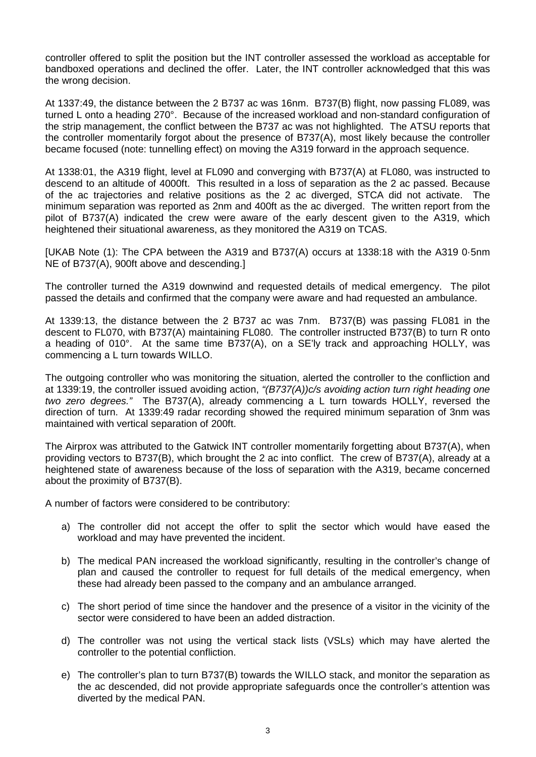controller offered to split the position but the INT controller assessed the workload as acceptable for bandboxed operations and declined the offer. Later, the INT controller acknowledged that this was the wrong decision.

At 1337:49, the distance between the 2 B737 ac was 16nm. B737(B) flight, now passing FL089, was turned L onto a heading 270°. Because of the increased workload and non-standard configuration of the strip management, the conflict between the B737 ac was not highlighted. The ATSU reports that the controller momentarily forgot about the presence of B737(A), most likely because the controller became focused (note: tunnelling effect) on moving the A319 forward in the approach sequence.

At 1338:01, the A319 flight, level at FL090 and converging with B737(A) at FL080, was instructed to descend to an altitude of 4000ft. This resulted in a loss of separation as the 2 ac passed. Because of the ac trajectories and relative positions as the 2 ac diverged, STCA did not activate. The minimum separation was reported as 2nm and 400ft as the ac diverged. The written report from the pilot of B737(A) indicated the crew were aware of the early descent given to the A319, which heightened their situational awareness, as they monitored the A319 on TCAS.

[UKAB Note (1): The CPA between the A319 and B737(A) occurs at 1338:18 with the A319 0·5nm NE of B737(A), 900ft above and descending.]

The controller turned the A319 downwind and requested details of medical emergency. The pilot passed the details and confirmed that the company were aware and had requested an ambulance.

At 1339:13, the distance between the 2 B737 ac was 7nm. B737(B) was passing FL081 in the descent to FL070, with B737(A) maintaining FL080. The controller instructed B737(B) to turn R onto a heading of 010°. At the same time B737(A), on a SE'ly track and approaching HOLLY, was commencing a L turn towards WILLO.

The outgoing controller who was monitoring the situation, alerted the controller to the confliction and at 1339:19, the controller issued avoiding action, *"(B737(A))c/s avoiding action turn right heading one two zero degrees."* The B737(A), already commencing a L turn towards HOLLY, reversed the direction of turn. At 1339:49 radar recording showed the required minimum separation of 3nm was maintained with vertical separation of 200ft.

The Airprox was attributed to the Gatwick INT controller momentarily forgetting about B737(A), when providing vectors to B737(B), which brought the 2 ac into conflict. The crew of B737(A), already at a heightened state of awareness because of the loss of separation with the A319, became concerned about the proximity of B737(B).

A number of factors were considered to be contributory:

- a) The controller did not accept the offer to split the sector which would have eased the workload and may have prevented the incident.
- b) The medical PAN increased the workload significantly, resulting in the controller's change of plan and caused the controller to request for full details of the medical emergency, when these had already been passed to the company and an ambulance arranged.
- c) The short period of time since the handover and the presence of a visitor in the vicinity of the sector were considered to have been an added distraction.
- d) The controller was not using the vertical stack lists (VSLs) which may have alerted the controller to the potential confliction.
- e) The controller's plan to turn B737(B) towards the WILLO stack, and monitor the separation as the ac descended, did not provide appropriate safeguards once the controller's attention was diverted by the medical PAN.